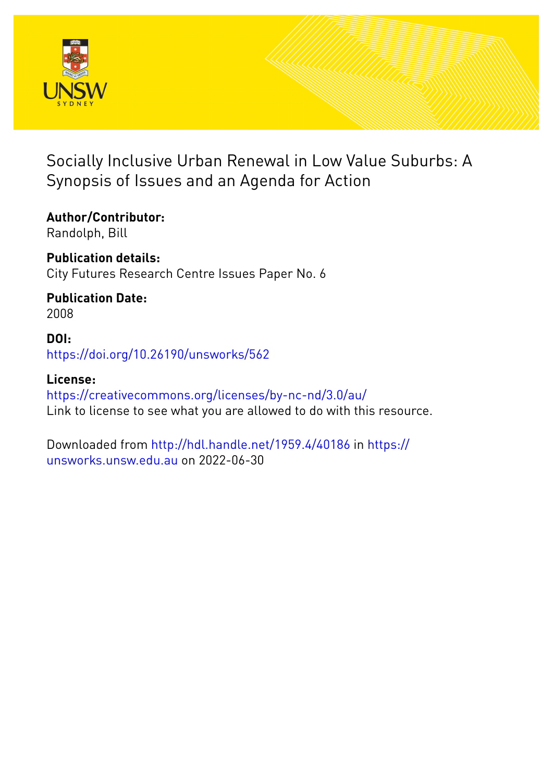

### Socially Inclusive Urban Renewal in Low Value Suburbs: A Synopsis of Issues and an Agenda for Action

**Author/Contributor:** Randolph, Bill

**Publication details:** City Futures Research Centre Issues Paper No. 6

**Publication Date:** 2008

**DOI:** [https://doi.org/10.26190/unsworks/562](http://dx.doi.org/https://doi.org/10.26190/unsworks/562)

**License:** <https://creativecommons.org/licenses/by-nc-nd/3.0/au/> Link to license to see what you are allowed to do with this resource.

Downloaded from <http://hdl.handle.net/1959.4/40186> in [https://](https://unsworks.unsw.edu.au) [unsworks.unsw.edu.au](https://unsworks.unsw.edu.au) on 2022-06-30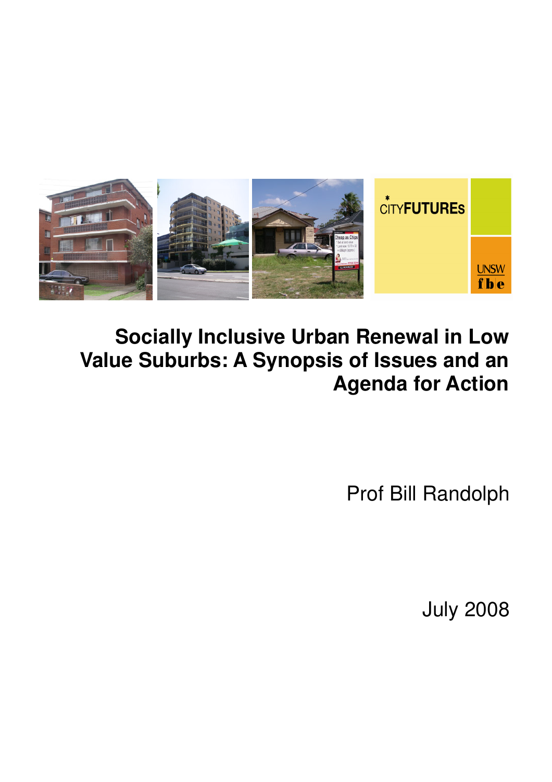

# **Socially Inclusive Urban Renewal in Low Value Suburbs: A Synopsis of Issues and an Agenda for Action**

Prof Bill Randolph

July 2008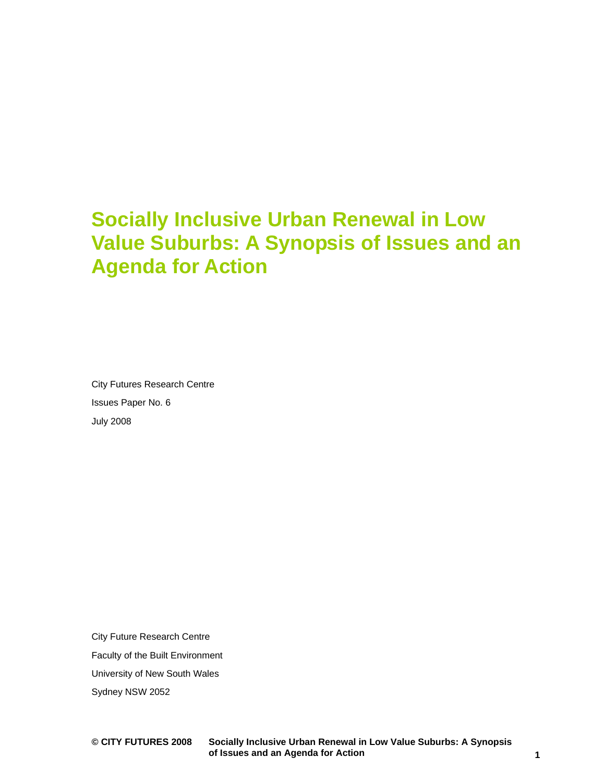## **Socially Inclusive Urban Renewal in Low Value Suburbs: A Synopsis of Issues and an Agenda for Action**

City Futures Research Centre Issues Paper No. 6 July 2008

City Future Research Centre Faculty of the Built Environment University of New South Wales Sydney NSW 2052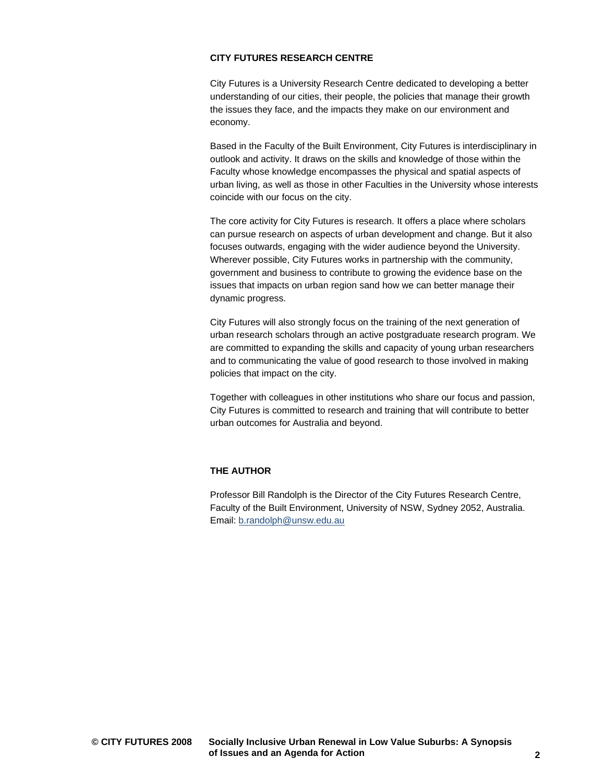#### **CITY FUTURES RESEARCH CENTRE**

City Futures is a University Research Centre dedicated to developing a better understanding of our cities, their people, the policies that manage their growth the issues they face, and the impacts they make on our environment and economy.

Based in the Faculty of the Built Environment, City Futures is interdisciplinary in outlook and activity. It draws on the skills and knowledge of those within the Faculty whose knowledge encompasses the physical and spatial aspects of urban living, as well as those in other Faculties in the University whose interests coincide with our focus on the city.

The core activity for City Futures is research. It offers a place where scholars can pursue research on aspects of urban development and change. But it also focuses outwards, engaging with the wider audience beyond the University. Wherever possible, City Futures works in partnership with the community, government and business to contribute to growing the evidence base on the issues that impacts on urban region sand how we can better manage their dynamic progress.

City Futures will also strongly focus on the training of the next generation of urban research scholars through an active postgraduate research program. We are committed to expanding the skills and capacity of young urban researchers and to communicating the value of good research to those involved in making policies that impact on the city.

Together with colleagues in other institutions who share our focus and passion, City Futures is committed to research and training that will contribute to better urban outcomes for Australia and beyond.

#### **THE AUTHOR**

Professor Bill Randolph is the Director of the City Futures Research Centre, Faculty of the Built Environment, University of NSW, Sydney 2052, Australia. Email: b.randolph@unsw.edu.au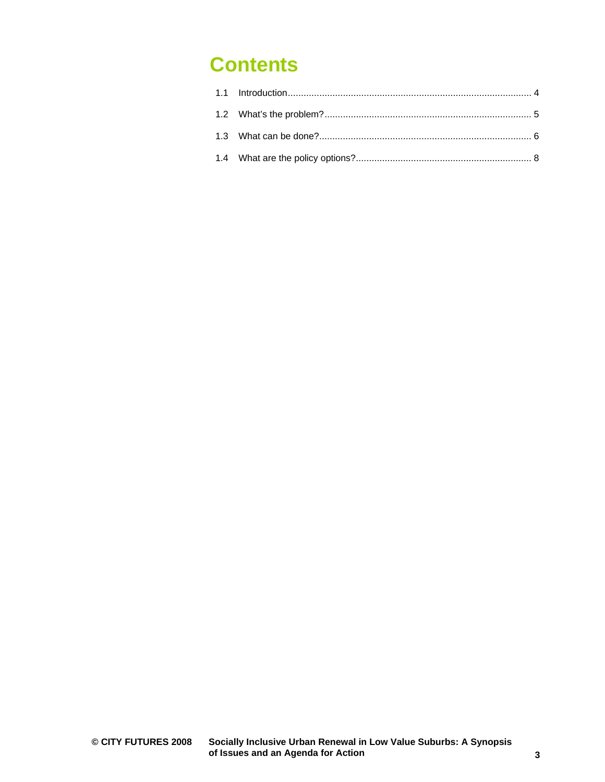## **Contents**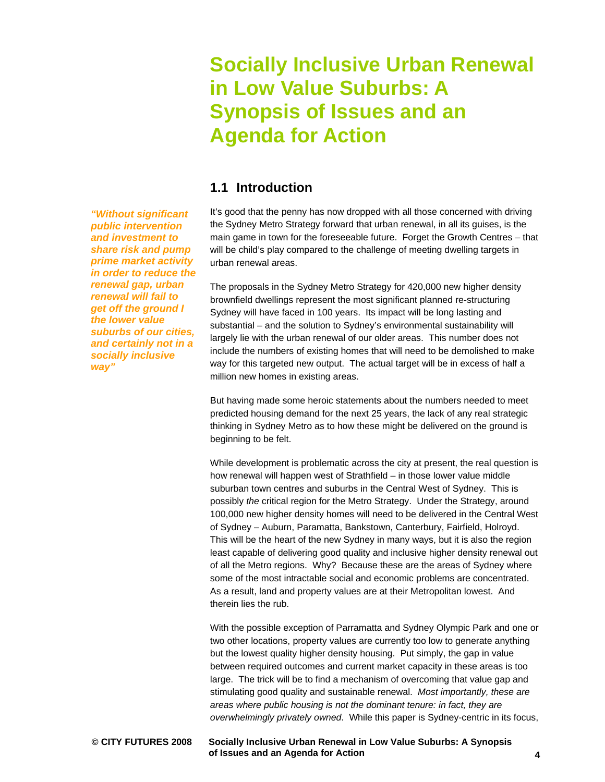*"Without significant public intervention and investment to share risk and pump prime market activity in order to reduce the renewal gap, urban renewal will fail to get off the ground I the lower value suburbs of our cities, and certainly not in a* 

## **Socially Inclusive Urban Renewal in Low Value Suburbs: A Synopsis of Issues and an Agenda for Action**

### **1.1 Introduction**

It's good that the penny has now dropped with all those concerned with driving the Sydney Metro Strategy forward that urban renewal, in all its guises, is the main game in town for the foreseeable future. Forget the Growth Centres – that will be child's play compared to the challenge of meeting dwelling targets in urban renewal areas.

The proposals in the Sydney Metro Strategy for 420,000 new higher density brownfield dwellings represent the most significant planned re-structuring Sydney will have faced in 100 years. Its impact will be long lasting and substantial – and the solution to Sydney's environmental sustainability will largely lie with the urban renewal of our older areas. This number does not include the numbers of existing homes that will need to be demolished to make way for this targeted new output. The actual target will be in excess of half a million new homes in existing areas.

But having made some heroic statements about the numbers needed to meet predicted housing demand for the next 25 years, the lack of any real strategic thinking in Sydney Metro as to how these might be delivered on the ground is beginning to be felt.

While development is problematic across the city at present, the real question is how renewal will happen west of Strathfield – in those lower value middle suburban town centres and suburbs in the Central West of Sydney. This is possibly *the* critical region for the Metro Strategy. Under the Strategy, around 100,000 new higher density homes will need to be delivered in the Central West of Sydney – Auburn, Paramatta, Bankstown, Canterbury, Fairfield, Holroyd. This will be the heart of the new Sydney in many ways, but it is also the region least capable of delivering good quality and inclusive higher density renewal out of all the Metro regions. Why? Because these are the areas of Sydney where some of the most intractable social and economic problems are concentrated. As a result, land and property values are at their Metropolitan lowest. And therein lies the rub.

With the possible exception of Parramatta and Sydney Olympic Park and one or two other locations, property values are currently too low to generate anything but the lowest quality higher density housing. Put simply, the gap in value between required outcomes and current market capacity in these areas is too large. The trick will be to find a mechanism of overcoming that value gap and stimulating good quality and sustainable renewal. *Most importantly, these are areas where public housing is not the dominant tenure: in fact, they are overwhelmingly privately owned*. While this paper is Sydney-centric in its focus,

*socially inclusive way"*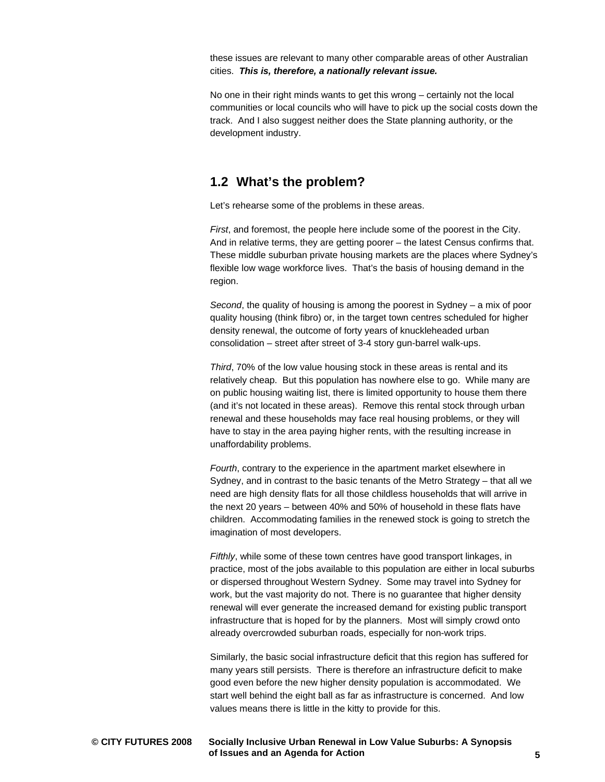these issues are relevant to many other comparable areas of other Australian cities. *This is, therefore, a nationally relevant issue.* 

No one in their right minds wants to get this wrong – certainly not the local communities or local councils who will have to pick up the social costs down the track. And I also suggest neither does the State planning authority, or the development industry.

#### **1.2 What's the problem?**

Let's rehearse some of the problems in these areas.

*First*, and foremost, the people here include some of the poorest in the City. And in relative terms, they are getting poorer – the latest Census confirms that. These middle suburban private housing markets are the places where Sydney's flexible low wage workforce lives. That's the basis of housing demand in the region.

*Second*, the quality of housing is among the poorest in Sydney – a mix of poor quality housing (think fibro) or, in the target town centres scheduled for higher density renewal, the outcome of forty years of knuckleheaded urban consolidation – street after street of 3-4 story gun-barrel walk-ups.

*Third*, 70% of the low value housing stock in these areas is rental and its relatively cheap. But this population has nowhere else to go. While many are on public housing waiting list, there is limited opportunity to house them there (and it's not located in these areas). Remove this rental stock through urban renewal and these households may face real housing problems, or they will have to stay in the area paying higher rents, with the resulting increase in unaffordability problems.

*Fourth*, contrary to the experience in the apartment market elsewhere in Sydney, and in contrast to the basic tenants of the Metro Strategy – that all we need are high density flats for all those childless households that will arrive in the next 20 years – between 40% and 50% of household in these flats have children. Accommodating families in the renewed stock is going to stretch the imagination of most developers.

*Fifthly*, while some of these town centres have good transport linkages, in practice, most of the jobs available to this population are either in local suburbs or dispersed throughout Western Sydney. Some may travel into Sydney for work, but the vast majority do not. There is no guarantee that higher density renewal will ever generate the increased demand for existing public transport infrastructure that is hoped for by the planners. Most will simply crowd onto already overcrowded suburban roads, especially for non-work trips.

Similarly, the basic social infrastructure deficit that this region has suffered for many years still persists. There is therefore an infrastructure deficit to make good even before the new higher density population is accommodated. We start well behind the eight ball as far as infrastructure is concerned. And low values means there is little in the kitty to provide for this.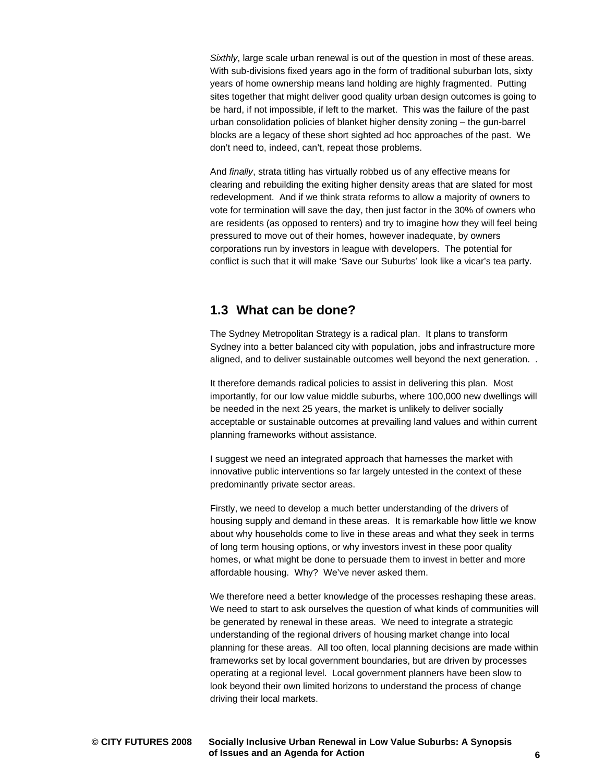*Sixthly*, large scale urban renewal is out of the question in most of these areas. With sub-divisions fixed years ago in the form of traditional suburban lots, sixty years of home ownership means land holding are highly fragmented. Putting sites together that might deliver good quality urban design outcomes is going to be hard, if not impossible, if left to the market. This was the failure of the past urban consolidation policies of blanket higher density zoning – the gun-barrel blocks are a legacy of these short sighted ad hoc approaches of the past. We don't need to, indeed, can't, repeat those problems.

And *finally*, strata titling has virtually robbed us of any effective means for clearing and rebuilding the exiting higher density areas that are slated for most redevelopment. And if we think strata reforms to allow a majority of owners to vote for termination will save the day, then just factor in the 30% of owners who are residents (as opposed to renters) and try to imagine how they will feel being pressured to move out of their homes, however inadequate, by owners corporations run by investors in league with developers. The potential for conflict is such that it will make 'Save our Suburbs' look like a vicar's tea party.

#### **1.3 What can be done?**

The Sydney Metropolitan Strategy is a radical plan. It plans to transform Sydney into a better balanced city with population, jobs and infrastructure more aligned, and to deliver sustainable outcomes well beyond the next generation. .

It therefore demands radical policies to assist in delivering this plan. Most importantly, for our low value middle suburbs, where 100,000 new dwellings will be needed in the next 25 years, the market is unlikely to deliver socially acceptable or sustainable outcomes at prevailing land values and within current planning frameworks without assistance.

I suggest we need an integrated approach that harnesses the market with innovative public interventions so far largely untested in the context of these predominantly private sector areas.

Firstly, we need to develop a much better understanding of the drivers of housing supply and demand in these areas. It is remarkable how little we know about why households come to live in these areas and what they seek in terms of long term housing options, or why investors invest in these poor quality homes, or what might be done to persuade them to invest in better and more affordable housing. Why? We've never asked them.

We therefore need a better knowledge of the processes reshaping these areas. We need to start to ask ourselves the question of what kinds of communities will be generated by renewal in these areas. We need to integrate a strategic understanding of the regional drivers of housing market change into local planning for these areas. All too often, local planning decisions are made within frameworks set by local government boundaries, but are driven by processes operating at a regional level. Local government planners have been slow to look beyond their own limited horizons to understand the process of change driving their local markets.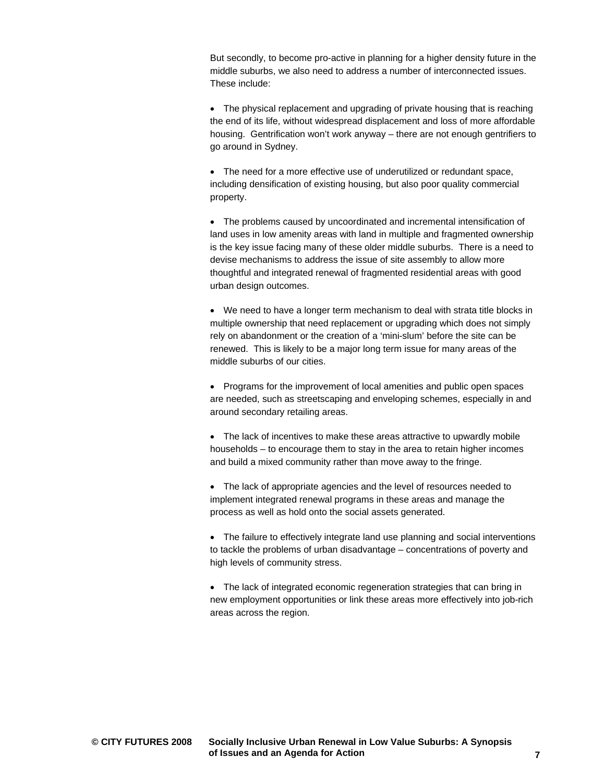But secondly, to become pro-active in planning for a higher density future in the middle suburbs, we also need to address a number of interconnected issues. These include:

• The physical replacement and upgrading of private housing that is reaching the end of its life, without widespread displacement and loss of more affordable housing. Gentrification won't work anyway – there are not enough gentrifiers to go around in Sydney.

• The need for a more effective use of underutilized or redundant space, including densification of existing housing, but also poor quality commercial property.

• The problems caused by uncoordinated and incremental intensification of land uses in low amenity areas with land in multiple and fragmented ownership is the key issue facing many of these older middle suburbs. There is a need to devise mechanisms to address the issue of site assembly to allow more thoughtful and integrated renewal of fragmented residential areas with good urban design outcomes.

• We need to have a longer term mechanism to deal with strata title blocks in multiple ownership that need replacement or upgrading which does not simply rely on abandonment or the creation of a 'mini-slum' before the site can be renewed. This is likely to be a major long term issue for many areas of the middle suburbs of our cities.

• Programs for the improvement of local amenities and public open spaces are needed, such as streetscaping and enveloping schemes, especially in and around secondary retailing areas.

• The lack of incentives to make these areas attractive to upwardly mobile households – to encourage them to stay in the area to retain higher incomes and build a mixed community rather than move away to the fringe.

• The lack of appropriate agencies and the level of resources needed to implement integrated renewal programs in these areas and manage the process as well as hold onto the social assets generated.

• The failure to effectively integrate land use planning and social interventions to tackle the problems of urban disadvantage – concentrations of poverty and high levels of community stress.

• The lack of integrated economic regeneration strategies that can bring in new employment opportunities or link these areas more effectively into job-rich areas across the region.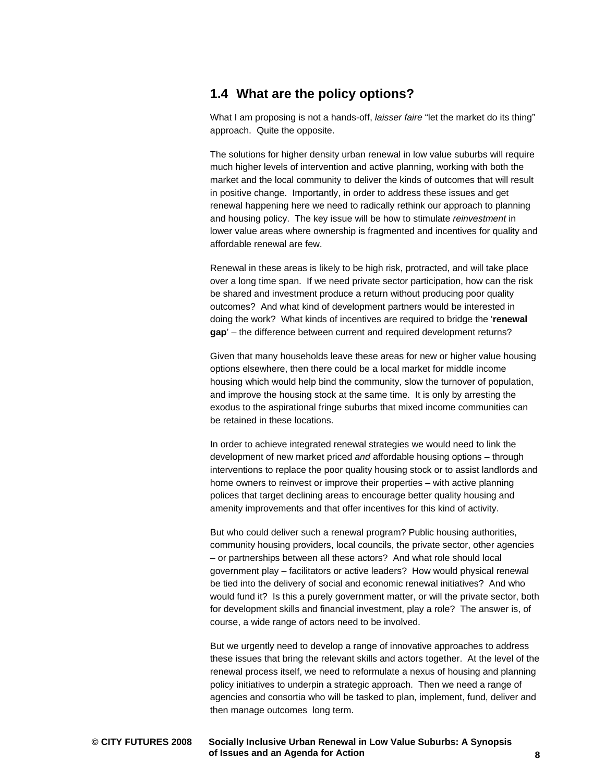### **1.4 What are the policy options?**

What I am proposing is not a hands-off, *laisser faire* "let the market do its thing" approach. Quite the opposite.

The solutions for higher density urban renewal in low value suburbs will require much higher levels of intervention and active planning, working with both the market and the local community to deliver the kinds of outcomes that will result in positive change. Importantly, in order to address these issues and get renewal happening here we need to radically rethink our approach to planning and housing policy. The key issue will be how to stimulate *reinvestment* in lower value areas where ownership is fragmented and incentives for quality and affordable renewal are few.

Renewal in these areas is likely to be high risk, protracted, and will take place over a long time span. If we need private sector participation, how can the risk be shared and investment produce a return without producing poor quality outcomes? And what kind of development partners would be interested in doing the work? What kinds of incentives are required to bridge the '**renewal gap**' – the difference between current and required development returns?

Given that many households leave these areas for new or higher value housing options elsewhere, then there could be a local market for middle income housing which would help bind the community, slow the turnover of population, and improve the housing stock at the same time. It is only by arresting the exodus to the aspirational fringe suburbs that mixed income communities can be retained in these locations.

In order to achieve integrated renewal strategies we would need to link the development of new market priced *and* affordable housing options – through interventions to replace the poor quality housing stock or to assist landlords and home owners to reinvest or improve their properties – with active planning polices that target declining areas to encourage better quality housing and amenity improvements and that offer incentives for this kind of activity.

But who could deliver such a renewal program? Public housing authorities, community housing providers, local councils, the private sector, other agencies – or partnerships between all these actors? And what role should local government play – facilitators or active leaders? How would physical renewal be tied into the delivery of social and economic renewal initiatives? And who would fund it? Is this a purely government matter, or will the private sector, both for development skills and financial investment, play a role? The answer is, of course, a wide range of actors need to be involved.

But we urgently need to develop a range of innovative approaches to address these issues that bring the relevant skills and actors together. At the level of the renewal process itself, we need to reformulate a nexus of housing and planning policy initiatives to underpin a strategic approach. Then we need a range of agencies and consortia who will be tasked to plan, implement, fund, deliver and then manage outcomes long term.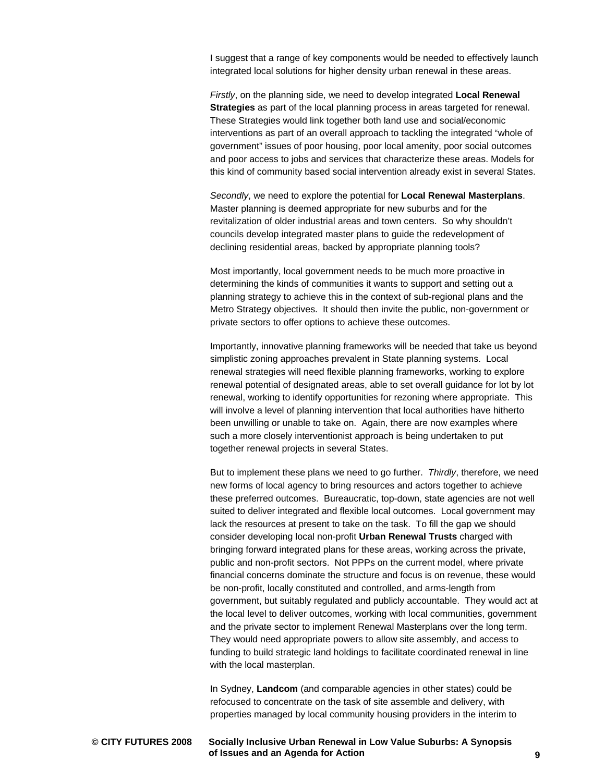I suggest that a range of key components would be needed to effectively launch integrated local solutions for higher density urban renewal in these areas.

*Firstly*, on the planning side, we need to develop integrated **Local Renewal Strategies** as part of the local planning process in areas targeted for renewal. These Strategies would link together both land use and social/economic interventions as part of an overall approach to tackling the integrated "whole of government" issues of poor housing, poor local amenity, poor social outcomes and poor access to jobs and services that characterize these areas. Models for this kind of community based social intervention already exist in several States.

*Secondly*, we need to explore the potential for **Local Renewal Masterplans**. Master planning is deemed appropriate for new suburbs and for the revitalization of older industrial areas and town centers. So why shouldn't councils develop integrated master plans to guide the redevelopment of declining residential areas, backed by appropriate planning tools?

Most importantly, local government needs to be much more proactive in determining the kinds of communities it wants to support and setting out a planning strategy to achieve this in the context of sub-regional plans and the Metro Strategy objectives. It should then invite the public, non-government or private sectors to offer options to achieve these outcomes.

Importantly, innovative planning frameworks will be needed that take us beyond simplistic zoning approaches prevalent in State planning systems. Local renewal strategies will need flexible planning frameworks, working to explore renewal potential of designated areas, able to set overall guidance for lot by lot renewal, working to identify opportunities for rezoning where appropriate. This will involve a level of planning intervention that local authorities have hitherto been unwilling or unable to take on. Again, there are now examples where such a more closely interventionist approach is being undertaken to put together renewal projects in several States.

But to implement these plans we need to go further. *Thirdly*, therefore, we need new forms of local agency to bring resources and actors together to achieve these preferred outcomes. Bureaucratic, top-down, state agencies are not well suited to deliver integrated and flexible local outcomes. Local government may lack the resources at present to take on the task. To fill the gap we should consider developing local non-profit **Urban Renewal Trusts** charged with bringing forward integrated plans for these areas, working across the private, public and non-profit sectors. Not PPPs on the current model, where private financial concerns dominate the structure and focus is on revenue, these would be non-profit, locally constituted and controlled, and arms-length from government, but suitably regulated and publicly accountable. They would act at the local level to deliver outcomes, working with local communities, government and the private sector to implement Renewal Masterplans over the long term. They would need appropriate powers to allow site assembly, and access to funding to build strategic land holdings to facilitate coordinated renewal in line with the local masterplan.

In Sydney, **Landcom** (and comparable agencies in other states) could be refocused to concentrate on the task of site assemble and delivery, with properties managed by local community housing providers in the interim to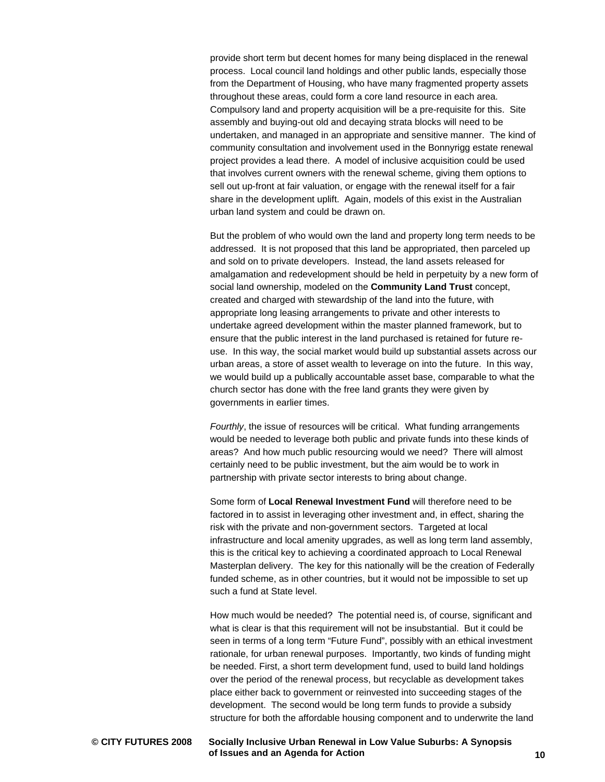provide short term but decent homes for many being displaced in the renewal process. Local council land holdings and other public lands, especially those from the Department of Housing, who have many fragmented property assets throughout these areas, could form a core land resource in each area. Compulsory land and property acquisition will be a pre-requisite for this. Site assembly and buying-out old and decaying strata blocks will need to be undertaken, and managed in an appropriate and sensitive manner. The kind of community consultation and involvement used in the Bonnyrigg estate renewal project provides a lead there. A model of inclusive acquisition could be used that involves current owners with the renewal scheme, giving them options to sell out up-front at fair valuation, or engage with the renewal itself for a fair share in the development uplift. Again, models of this exist in the Australian urban land system and could be drawn on.

But the problem of who would own the land and property long term needs to be addressed. It is not proposed that this land be appropriated, then parceled up and sold on to private developers. Instead, the land assets released for amalgamation and redevelopment should be held in perpetuity by a new form of social land ownership, modeled on the **Community Land Trust** concept, created and charged with stewardship of the land into the future, with appropriate long leasing arrangements to private and other interests to undertake agreed development within the master planned framework, but to ensure that the public interest in the land purchased is retained for future reuse. In this way, the social market would build up substantial assets across our urban areas, a store of asset wealth to leverage on into the future. In this way, we would build up a publically accountable asset base, comparable to what the church sector has done with the free land grants they were given by governments in earlier times.

*Fourthly*, the issue of resources will be critical. What funding arrangements would be needed to leverage both public and private funds into these kinds of areas? And how much public resourcing would we need? There will almost certainly need to be public investment, but the aim would be to work in partnership with private sector interests to bring about change.

Some form of **Local Renewal Investment Fund** will therefore need to be factored in to assist in leveraging other investment and, in effect, sharing the risk with the private and non-government sectors. Targeted at local infrastructure and local amenity upgrades, as well as long term land assembly, this is the critical key to achieving a coordinated approach to Local Renewal Masterplan delivery. The key for this nationally will be the creation of Federally funded scheme, as in other countries, but it would not be impossible to set up such a fund at State level.

How much would be needed? The potential need is, of course, significant and what is clear is that this requirement will not be insubstantial. But it could be seen in terms of a long term "Future Fund", possibly with an ethical investment rationale, for urban renewal purposes. Importantly, two kinds of funding might be needed. First, a short term development fund, used to build land holdings over the period of the renewal process, but recyclable as development takes place either back to government or reinvested into succeeding stages of the development. The second would be long term funds to provide a subsidy structure for both the affordable housing component and to underwrite the land